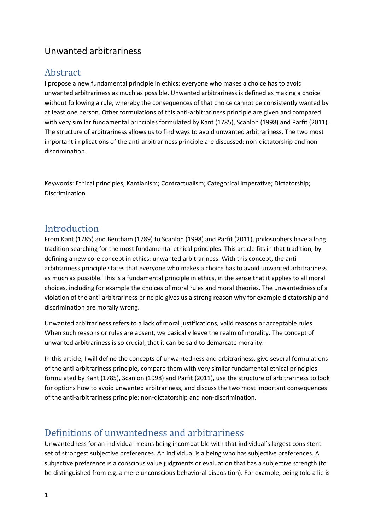## Unwanted arbitrariness

### Abstract

I propose a new fundamental principle in ethics: everyone who makes a choice has to avoid unwanted arbitrariness as much as possible. Unwanted arbitrariness is defined as making a choice without following a rule, whereby the consequences of that choice cannot be consistently wanted by at least one person. Other formulations of this anti-arbitrariness principle are given and compared with very similar fundamental principles formulated by Kant (1785), Scanlon (1998) and Parfit (2011). The structure of arbitrariness allows us to find ways to avoid unwanted arbitrariness. The two most important implications of the anti-arbitrariness principle are discussed: non-dictatorship and nondiscrimination.

Keywords: Ethical principles; Kantianism; Contractualism; Categorical imperative; Dictatorship; Discrimination

#### Introduction

From Kant (1785) and Bentham (1789) to Scanlon (1998) and Parfit (2011), philosophers have a long tradition searching for the most fundamental ethical principles. This article fits in that tradition, by defining a new core concept in ethics: unwanted arbitrariness. With this concept, the antiarbitrariness principle states that everyone who makes a choice has to avoid unwanted arbitrariness as much as possible. This is a fundamental principle in ethics, in the sense that it applies to all moral choices, including for example the choices of moral rules and moral theories. The unwantedness of a violation of the anti-arbitrariness principle gives us a strong reason why for example dictatorship and discrimination are morally wrong.

Unwanted arbitrariness refers to a lack of moral justifications, valid reasons or acceptable rules. When such reasons or rules are absent, we basically leave the realm of morality. The concept of unwanted arbitrariness is so crucial, that it can be said to demarcate morality.

In this article, I will define the concepts of unwantedness and arbitrariness, give several formulations of the anti-arbitrariness principle, compare them with very similar fundamental ethical principles formulated by Kant (1785), Scanlon (1998) and Parfit (2011), use the structure of arbitrariness to look for options how to avoid unwanted arbitrariness, and discuss the two most important consequences of the anti-arbitrariness principle: non-dictatorship and non-discrimination.

### Definitions of unwantedness and arbitrariness

Unwantedness for an individual means being incompatible with that individual's largest consistent set of strongest subjective preferences. An individual is a being who has subjective preferences. A subjective preference is a conscious value judgments or evaluation that has a subjective strength (to be distinguished from e.g. a mere unconscious behavioral disposition). For example, being told a lie is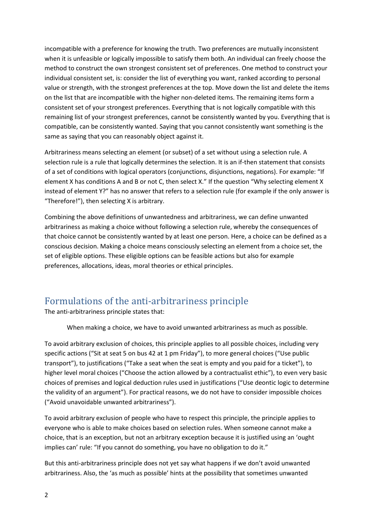incompatible with a preference for knowing the truth. Two preferences are mutually inconsistent when it is unfeasible or logically impossible to satisfy them both. An individual can freely choose the method to construct the own strongest consistent set of preferences. One method to construct your individual consistent set, is: consider the list of everything you want, ranked according to personal value or strength, with the strongest preferences at the top. Move down the list and delete the items on the list that are incompatible with the higher non-deleted items. The remaining items form a consistent set of your strongest preferences. Everything that is not logically compatible with this remaining list of your strongest preferences, cannot be consistently wanted by you. Everything that is compatible, can be consistently wanted. Saying that you cannot consistently want something is the same as saying that you can reasonably object against it.

Arbitrariness means selecting an element (or subset) of a set without using a selection rule. A selection rule is a rule that logically determines the selection. It is an if-then statement that consists of a set of conditions with logical operators (conjunctions, disjunctions, negations). For example: "If element X has conditions A and B or not C, then select X." If the question "Why selecting element X instead of element Y?" has no answer that refers to a selection rule (for example if the only answer is "Therefore!"), then selecting X is arbitrary.

Combining the above definitions of unwantedness and arbitrariness, we can define unwanted arbitrariness as making a choice without following a selection rule, whereby the consequences of that choice cannot be consistently wanted by at least one person. Here, a choice can be defined as a conscious decision. Making a choice means consciously selecting an element from a choice set, the set of eligible options. These eligible options can be feasible actions but also for example preferences, allocations, ideas, moral theories or ethical principles.

### Formulations of the anti-arbitrariness principle

The anti-arbitrariness principle states that:

When making a choice, we have to avoid unwanted arbitrariness as much as possible.

To avoid arbitrary exclusion of choices, this principle applies to all possible choices, including very specific actions ("Sit at seat 5 on bus 42 at 1 pm Friday"), to more general choices ("Use public transport"), to justifications ("Take a seat when the seat is empty and you paid for a ticket"), to higher level moral choices ("Choose the action allowed by a contractualist ethic"), to even very basic choices of premises and logical deduction rules used in justifications ("Use deontic logic to determine the validity of an argument"). For practical reasons, we do not have to consider impossible choices ("Avoid unavoidable unwanted arbitrariness").

To avoid arbitrary exclusion of people who have to respect this principle, the principle applies to everyone who is able to make choices based on selection rules. When someone cannot make a choice, that is an exception, but not an arbitrary exception because it is justified using an 'ought implies can' rule: "If you cannot do something, you have no obligation to do it."

But this anti-arbitrariness principle does not yet say what happens if we don't avoid unwanted arbitrariness. Also, the 'as much as possible' hints at the possibility that sometimes unwanted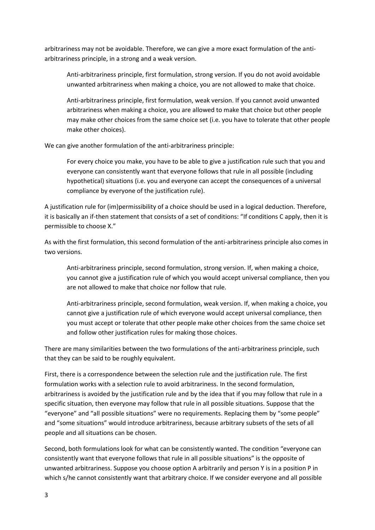arbitrariness may not be avoidable. Therefore, we can give a more exact formulation of the antiarbitrariness principle, in a strong and a weak version.

Anti-arbitrariness principle, first formulation, strong version. If you do not avoid avoidable unwanted arbitrariness when making a choice, you are not allowed to make that choice.

Anti-arbitrariness principle, first formulation, weak version. If you cannot avoid unwanted arbitrariness when making a choice, you are allowed to make that choice but other people may make other choices from the same choice set (i.e. you have to tolerate that other people make other choices).

We can give another formulation of the anti-arbitrariness principle:

For every choice you make, you have to be able to give a justification rule such that you and everyone can consistently want that everyone follows that rule in all possible (including hypothetical) situations (i.e. you and everyone can accept the consequences of a universal compliance by everyone of the justification rule).

A justification rule for (im)permissibility of a choice should be used in a logical deduction. Therefore, it is basically an if-then statement that consists of a set of conditions: "If conditions C apply, then it is permissible to choose X."

As with the first formulation, this second formulation of the anti-arbitrariness principle also comes in two versions.

Anti-arbitrariness principle, second formulation, strong version. If, when making a choice, you cannot give a justification rule of which you would accept universal compliance, then you are not allowed to make that choice nor follow that rule.

Anti-arbitrariness principle, second formulation, weak version. If, when making a choice, you cannot give a justification rule of which everyone would accept universal compliance, then you must accept or tolerate that other people make other choices from the same choice set and follow other justification rules for making those choices.

There are many similarities between the two formulations of the anti-arbitrariness principle, such that they can be said to be roughly equivalent.

First, there is a correspondence between the selection rule and the justification rule. The first formulation works with a selection rule to avoid arbitrariness. In the second formulation, arbitrariness is avoided by the justification rule and by the idea that if you may follow that rule in a specific situation, then everyone may follow that rule in all possible situations. Suppose that the "everyone" and "all possible situations" were no requirements. Replacing them by "some people" and "some situations" would introduce arbitrariness, because arbitrary subsets of the sets of all people and all situations can be chosen.

Second, both formulations look for what can be consistently wanted. The condition "everyone can consistently want that everyone follows that rule in all possible situations" is the opposite of unwanted arbitrariness. Suppose you choose option A arbitrarily and person Y is in a position P in which s/he cannot consistently want that arbitrary choice. If we consider everyone and all possible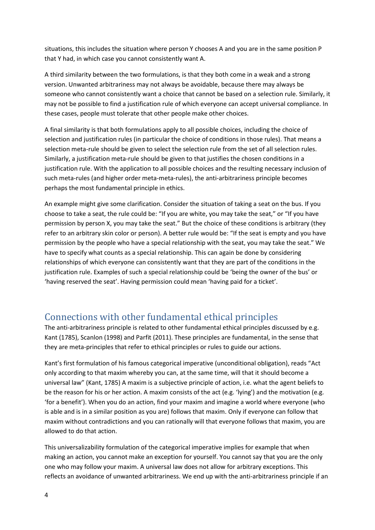situations, this includes the situation where person Y chooses A and you are in the same position P that Y had, in which case you cannot consistently want A.

A third similarity between the two formulations, is that they both come in a weak and a strong version. Unwanted arbitrariness may not always be avoidable, because there may always be someone who cannot consistently want a choice that cannot be based on a selection rule. Similarly, it may not be possible to find a justification rule of which everyone can accept universal compliance. In these cases, people must tolerate that other people make other choices.

A final similarity is that both formulations apply to all possible choices, including the choice of selection and justification rules (in particular the choice of conditions in those rules). That means a selection meta-rule should be given to select the selection rule from the set of all selection rules. Similarly, a justification meta-rule should be given to that justifies the chosen conditions in a justification rule. With the application to all possible choices and the resulting necessary inclusion of such meta-rules (and higher order meta-meta-rules), the anti-arbitrariness principle becomes perhaps the most fundamental principle in ethics.

An example might give some clarification. Consider the situation of taking a seat on the bus. If you choose to take a seat, the rule could be: "If you are white, you may take the seat," or "If you have permission by person X, you may take the seat." But the choice of these conditions is arbitrary (they refer to an arbitrary skin color or person). A better rule would be: "If the seat is empty and you have permission by the people who have a special relationship with the seat, you may take the seat." We have to specify what counts as a special relationship. This can again be done by considering relationships of which everyone can consistently want that they are part of the conditions in the justification rule. Examples of such a special relationship could be 'being the owner of the bus' or 'having reserved the seat'. Having permission could mean 'having paid for a ticket'.

# Connections with other fundamental ethical principles

The anti-arbitrariness principle is related to other fundamental ethical principles discussed by e.g. Kant (1785), Scanlon (1998) and Parfit (2011). These principles are fundamental, in the sense that they are meta-principles that refer to ethical principles or rules to guide our actions.

Kant's first formulation of his famous categorical imperative (unconditional obligation), reads "Act only according to that maxim whereby you can, at the same time, will that it should become a universal law" (Kant, 1785) A maxim is a subjective principle of action, i.e. what the agent beliefs to be the reason for his or her action. A maxim consists of the act (e.g. 'lying') and the motivation (e.g. 'for a benefit'). When you do an action, find your maxim and imagine a world where everyone (who is able and is in a similar position as you are) follows that maxim. Only if everyone can follow that maxim without contradictions and you can rationally will that everyone follows that maxim, you are allowed to do that action.

This universalizability formulation of the categorical imperative implies for example that when making an action, you cannot make an exception for yourself. You cannot say that you are the only one who may follow your maxim. A universal law does not allow for arbitrary exceptions. This reflects an avoidance of unwanted arbitrariness. We end up with the anti-arbitrariness principle if an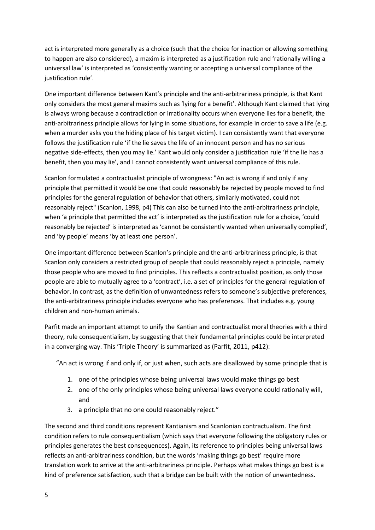act is interpreted more generally as a choice (such that the choice for inaction or allowing something to happen are also considered), a maxim is interpreted as a justification rule and 'rationally willing a universal law' is interpreted as 'consistently wanting or accepting a universal compliance of the justification rule'.

One important difference between Kant's principle and the anti-arbitrariness principle, is that Kant only considers the most general maxims such as 'lying for a benefit'. Although Kant claimed that lying is always wrong because a contradiction or irrationality occurs when everyone lies for a benefit, the anti-arbitrariness principle allows for lying in some situations, for example in order to save a life (e.g. when a murder asks you the hiding place of his target victim). I can consistently want that everyone follows the justification rule 'if the lie saves the life of an innocent person and has no serious negative side-effects, then you may lie.' Kant would only consider a justification rule 'if the lie has a benefit, then you may lie', and I cannot consistently want universal compliance of this rule.

Scanlon formulated a contractualist principle of wrongness: "An act is wrong if and only if any principle that permitted it would be one that could reasonably be rejected by people moved to find principles for the general regulation of behavior that others, similarly motivated, could not reasonably reject" (Scanlon, 1998, p4) This can also be turned into the anti-arbitrariness principle, when 'a principle that permitted the act' is interpreted as the justification rule for a choice, 'could reasonably be rejected' is interpreted as 'cannot be consistently wanted when universally complied', and 'by people' means 'by at least one person'.

One important difference between Scanlon's principle and the anti-arbitrariness principle, is that Scanlon only considers a restricted group of people that could reasonably reject a principle, namely those people who are moved to find principles. This reflects a contractualist position, as only those people are able to mutually agree to a 'contract', i.e. a set of principles for the general regulation of behavior. In contrast, as the definition of unwantedness refers to someone's subjective preferences, the anti-arbitrariness principle includes everyone who has preferences. That includes e.g. young children and non-human animals.

Parfit made an important attempt to unify the Kantian and contractualist moral theories with a third theory, rule consequentialism, by suggesting that their fundamental principles could be interpreted in a converging way. This 'Triple Theory' is summarized as (Parfit, 2011, p412):

"An act is wrong if and only if, or just when, such acts are disallowed by some principle that is

- 1. one of the principles whose being universal laws would make things go best
- 2. one of the only principles whose being universal laws everyone could rationally will, and
- 3. a principle that no one could reasonably reject."

The second and third conditions represent Kantianism and Scanlonian contractualism. The first condition refers to rule consequentialism (which says that everyone following the obligatory rules or principles generates the best consequences). Again, its reference to principles being universal laws reflects an anti-arbitrariness condition, but the words 'making things go best' require more translation work to arrive at the anti-arbitrariness principle. Perhaps what makes things go best is a kind of preference satisfaction, such that a bridge can be built with the notion of unwantedness.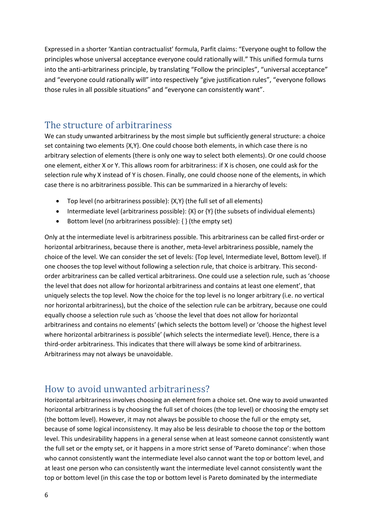Expressed in a shorter 'Kantian contractualist' formula, Parfit claims: "Everyone ought to follow the principles whose universal acceptance everyone could rationally will." This unified formula turns into the anti-arbitrariness principle, by translating "Follow the principles", "universal acceptance" and "everyone could rationally will" into respectively "give justification rules", "everyone follows those rules in all possible situations" and "everyone can consistently want".

### The structure of arbitrariness

We can study unwanted arbitrariness by the most simple but sufficiently general structure: a choice set containing two elements {X,Y}. One could choose both elements, in which case there is no arbitrary selection of elements (there is only one way to select both elements). Or one could choose one element, either X or Y. This allows room for arbitrariness: if X is chosen, one could ask for the selection rule why X instead of Y is chosen. Finally, one could choose none of the elements, in which case there is no arbitrariness possible. This can be summarized in a hierarchy of levels:

- Top level (no arbitrariness possible):  $\{X,Y\}$  (the full set of all elements)
- Intermediate level (arbitrariness possible):  $\{X\}$  or  $\{Y\}$  (the subsets of individual elements)
- Bottom level (no arbitrariness possible): { } (the empty set)

Only at the intermediate level is arbitrariness possible. This arbitrariness can be called first-order or horizontal arbitrariness, because there is another, meta-level arbitrariness possible, namely the choice of the level. We can consider the set of levels: {Top level, Intermediate level, Bottom level}. If one chooses the top level without following a selection rule, that choice is arbitrary. This secondorder arbitrariness can be called vertical arbitrariness. One could use a selection rule, such as 'choose the level that does not allow for horizontal arbitrariness and contains at least one element', that uniquely selects the top level. Now the choice for the top level is no longer arbitrary (i.e. no vertical nor horizontal arbitrariness), but the choice of the selection rule can be arbitrary, because one could equally choose a selection rule such as 'choose the level that does not allow for horizontal arbitrariness and contains no elements' (which selects the bottom level) or 'choose the highest level where horizontal arbitrariness is possible' (which selects the intermediate level). Hence, there is a third-order arbitrariness. This indicates that there will always be some kind of arbitrariness. Arbitrariness may not always be unavoidable.

### How to avoid unwanted arbitrariness?

Horizontal arbitrariness involves choosing an element from a choice set. One way to avoid unwanted horizontal arbitrariness is by choosing the full set of choices (the top level) or choosing the empty set (the bottom level). However, it may not always be possible to choose the full or the empty set, because of some logical inconsistency. It may also be less desirable to choose the top or the bottom level. This undesirability happens in a general sense when at least someone cannot consistently want the full set or the empty set, or it happens in a more strict sense of 'Pareto dominance': when those who cannot consistently want the intermediate level also cannot want the top or bottom level, and at least one person who can consistently want the intermediate level cannot consistently want the top or bottom level (in this case the top or bottom level is Pareto dominated by the intermediate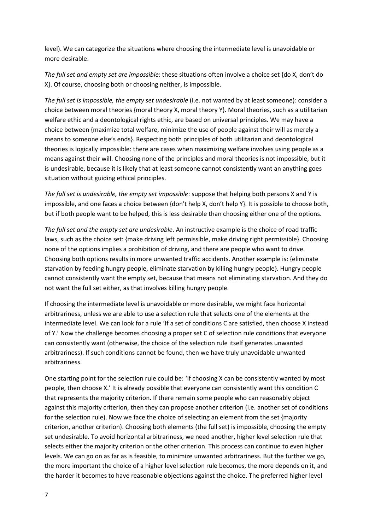level). We can categorize the situations where choosing the intermediate level is unavoidable or more desirable.

*The full set and empty set are impossible*: these situations often involve a choice set {do X, don't do X}. Of course, choosing both or choosing neither, is impossible.

*The full set is impossible, the empty set undesirable* (i.e. not wanted by at least someone): consider a choice between moral theories {moral theory X, moral theory Y}. Moral theories, such as a utilitarian welfare ethic and a deontological rights ethic, are based on universal principles. We may have a choice between {maximize total welfare, minimize the use of people against their will as merely a means to someone else's ends}. Respecting both principles of both utilitarian and deontological theories is logically impossible: there are cases when maximizing welfare involves using people as a means against their will. Choosing none of the principles and moral theories is not impossible, but it is undesirable, because it is likely that at least someone cannot consistently want an anything goes situation without guiding ethical principles.

*The full set is undesirable, the empty set impossible*: suppose that helping both persons X and Y is impossible, and one faces a choice between {don't help X, don't help Y}. It is possible to choose both, but if both people want to be helped, this is less desirable than choosing either one of the options.

*The full set and the empty set are undesirable*. An instructive example is the choice of road traffic laws, such as the choice set: {make driving left permissible, make driving right permissible}. Choosing none of the options implies a prohibition of driving, and there are people who want to drive. Choosing both options results in more unwanted traffic accidents. Another example is: {eliminate starvation by feeding hungry people, eliminate starvation by killing hungry people}. Hungry people cannot consistently want the empty set, because that means not eliminating starvation. And they do not want the full set either, as that involves killing hungry people.

If choosing the intermediate level is unavoidable or more desirable, we might face horizontal arbitrariness, unless we are able to use a selection rule that selects one of the elements at the intermediate level. We can look for a rule 'If a set of conditions C are satisfied, then choose X instead of Y.' Now the challenge becomes choosing a proper set C of selection rule conditions that everyone can consistently want (otherwise, the choice of the selection rule itself generates unwanted arbitrariness). If such conditions cannot be found, then we have truly unavoidable unwanted arbitrariness.

One starting point for the selection rule could be: 'If choosing X can be consistently wanted by most people, then choose X.' It is already possible that everyone can consistently want this condition C that represents the majority criterion. If there remain some people who can reasonably object against this majority criterion, then they can propose another criterion (i.e. another set of conditions for the selection rule). Now we face the choice of selecting an element from the set {majority criterion, another criterion}. Choosing both elements (the full set) is impossible, choosing the empty set undesirable. To avoid horizontal arbitrariness, we need another, higher level selection rule that selects either the majority criterion or the other criterion. This process can continue to even higher levels. We can go on as far as is feasible, to minimize unwanted arbitrariness. But the further we go, the more important the choice of a higher level selection rule becomes, the more depends on it, and the harder it becomes to have reasonable objections against the choice. The preferred higher level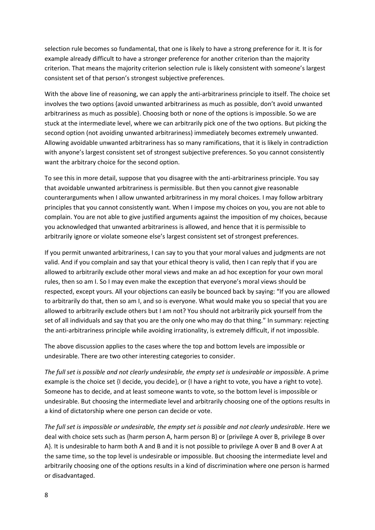selection rule becomes so fundamental, that one is likely to have a strong preference for it. It is for example already difficult to have a stronger preference for another criterion than the majority criterion. That means the majority criterion selection rule is likely consistent with someone's largest consistent set of that person's strongest subjective preferences.

With the above line of reasoning, we can apply the anti-arbitrariness principle to itself. The choice set involves the two options {avoid unwanted arbitrariness as much as possible, don't avoid unwanted arbitrariness as much as possible}. Choosing both or none of the options is impossible. So we are stuck at the intermediate level, where we can arbitrarily pick one of the two options. But picking the second option (not avoiding unwanted arbitrariness) immediately becomes extremely unwanted. Allowing avoidable unwanted arbitrariness has so many ramifications, that it is likely in contradiction with anyone's largest consistent set of strongest subjective preferences. So you cannot consistently want the arbitrary choice for the second option.

To see this in more detail, suppose that you disagree with the anti-arbitrariness principle. You say that avoidable unwanted arbitrariness is permissible. But then you cannot give reasonable counterarguments when I allow unwanted arbitrariness in my moral choices. I may follow arbitrary principles that you cannot consistently want. When I impose my choices on you, you are not able to complain. You are not able to give justified arguments against the imposition of my choices, because you acknowledged that unwanted arbitrariness is allowed, and hence that it is permissible to arbitrarily ignore or violate someone else's largest consistent set of strongest preferences.

If you permit unwanted arbitrariness, I can say to you that your moral values and judgments are not valid. And if you complain and say that your ethical theory is valid, then I can reply that if you are allowed to arbitrarily exclude other moral views and make an ad hoc exception for your own moral rules, then so am I. So I may even make the exception that everyone's moral views should be respected, except yours. All your objections can easily be bounced back by saying: "If you are allowed to arbitrarily do that, then so am I, and so is everyone. What would make you so special that you are allowed to arbitrarily exclude others but I am not? You should not arbitrarily pick yourself from the set of all individuals and say that you are the only one who may do that thing." In summary: rejecting the anti-arbitrariness principle while avoiding irrationality, is extremely difficult, if not impossible.

The above discussion applies to the cases where the top and bottom levels are impossible or undesirable. There are two other interesting categories to consider.

*The full set is possible and not clearly undesirable, the empty set is undesirable or impossible*. A prime example is the choice set {I decide, you decide}, or {I have a right to vote, you have a right to vote}. Someone has to decide, and at least someone wants to vote, so the bottom level is impossible or undesirable. But choosing the intermediate level and arbitrarily choosing one of the options results in a kind of dictatorship where one person can decide or vote.

*The full set is impossible or undesirable, the empty set is possible and not clearly undesirable*. Here we deal with choice sets such as {harm person A, harm person B} or {privilege A over B, privilege B over A}. It is undesirable to harm both A and B and it is not possible to privilege A over B and B over A at the same time, so the top level is undesirable or impossible. But choosing the intermediate level and arbitrarily choosing one of the options results in a kind of discrimination where one person is harmed or disadvantaged.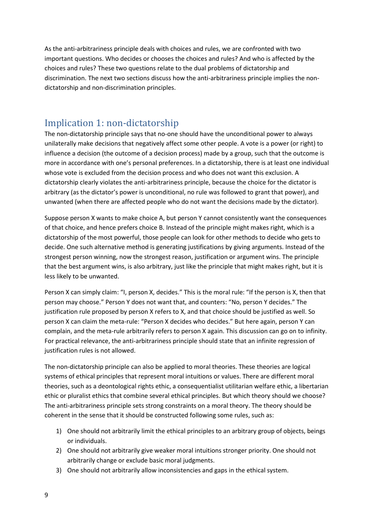As the anti-arbitrariness principle deals with choices and rules, we are confronted with two important questions. Who decides or chooses the choices and rules? And who is affected by the choices and rules? These two questions relate to the dual problems of dictatorship and discrimination. The next two sections discuss how the anti-arbitrariness principle implies the nondictatorship and non-discrimination principles.

## Implication 1: non-dictatorship

The non-dictatorship principle says that no-one should have the unconditional power to always unilaterally make decisions that negatively affect some other people. A vote is a power (or right) to influence a decision (the outcome of a decision process) made by a group, such that the outcome is more in accordance with one's personal preferences. In a dictatorship, there is at least one individual whose vote is excluded from the decision process and who does not want this exclusion. A dictatorship clearly violates the anti-arbitrariness principle, because the choice for the dictator is arbitrary (as the dictator's power is unconditional, no rule was followed to grant that power), and unwanted (when there are affected people who do not want the decisions made by the dictator).

Suppose person X wants to make choice A, but person Y cannot consistently want the consequences of that choice, and hence prefers choice B. Instead of the principle might makes right, which is a dictatorship of the most powerful, those people can look for other methods to decide who gets to decide. One such alternative method is generating justifications by giving arguments. Instead of the strongest person winning, now the strongest reason, justification or argument wins. The principle that the best argument wins, is also arbitrary, just like the principle that might makes right, but it is less likely to be unwanted.

Person X can simply claim: "I, person X, decides." This is the moral rule: "If the person is X, then that person may choose." Person Y does not want that, and counters: "No, person Y decides." The justification rule proposed by person X refers to X, and that choice should be justified as well. So person X can claim the meta-rule: "Person X decides who decides." But here again, person Y can complain, and the meta-rule arbitrarily refers to person X again. This discussion can go on to infinity. For practical relevance, the anti-arbitrariness principle should state that an infinite regression of justification rules is not allowed.

The non-dictatorship principle can also be applied to moral theories. These theories are logical systems of ethical principles that represent moral intuitions or values. There are different moral theories, such as a deontological rights ethic, a consequentialist utilitarian welfare ethic, a libertarian ethic or pluralist ethics that combine several ethical principles. But which theory should we choose? The anti-arbitrariness principle sets strong constraints on a moral theory. The theory should be coherent in the sense that it should be constructed following some rules, such as:

- 1) One should not arbitrarily limit the ethical principles to an arbitrary group of objects, beings or individuals.
- 2) One should not arbitrarily give weaker moral intuitions stronger priority. One should not arbitrarily change or exclude basic moral judgments.
- 3) One should not arbitrarily allow inconsistencies and gaps in the ethical system.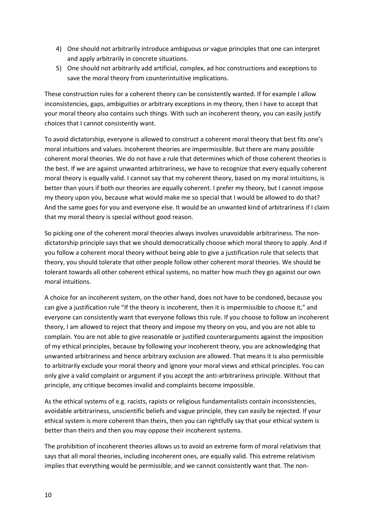- 4) One should not arbitrarily introduce ambiguous or vague principles that one can interpret and apply arbitrarily in concrete situations.
- 5) One should not arbitrarily add artificial, complex, ad hoc constructions and exceptions to save the moral theory from counterintuitive implications.

These construction rules for a coherent theory can be consistently wanted. If for example I allow inconsistencies, gaps, ambiguities or arbitrary exceptions in my theory, then I have to accept that your moral theory also contains such things. With such an incoherent theory, you can easily justify choices that I cannot consistently want.

To avoid dictatorship, everyone is allowed to construct a coherent moral theory that best fits one's moral intuitions and values. Incoherent theories are impermissible. But there are many possible coherent moral theories. We do not have a rule that determines which of those coherent theories is the best. If we are against unwanted arbitrariness, we have to recognize that every equally coherent moral theory is equally valid. I cannot say that my coherent theory, based on my moral intuitions, is better than yours if both our theories are equally coherent. I prefer my theory, but I cannot impose my theory upon you, because what would make me so special that I would be allowed to do that? And the same goes for you and everyone else. It would be an unwanted kind of arbitrariness if I claim that my moral theory is special without good reason.

So picking one of the coherent moral theories always involves unavoidable arbitrariness. The nondictatorship principle says that we should democratically choose which moral theory to apply. And if you follow a coherent moral theory without being able to give a justification rule that selects that theory, you should tolerate that other people follow other coherent moral theories. We should be tolerant towards all other coherent ethical systems, no matter how much they go against our own moral intuitions.

A choice for an incoherent system, on the other hand, does not have to be condoned, because you can give a justification rule "If the theory is incoherent, then it is impermissible to choose it," and everyone can consistently want that everyone follows this rule. If you choose to follow an incoherent theory, I am allowed to reject that theory and impose my theory on you, and you are not able to complain. You are not able to give reasonable or justified counterarguments against the imposition of my ethical principles, because by following your incoherent theory, you are acknowledging that unwanted arbitrariness and hence arbitrary exclusion are allowed. That means it is also permissible to arbitrarily exclude your moral theory and ignore your moral views and ethical principles. You can only give a valid complaint or argument if you accept the anti-arbitrariness principle. Without that principle, any critique becomes invalid and complaints become impossible.

As the ethical systems of e.g. racists, rapists or religious fundamentalists contain inconsistencies, avoidable arbitrariness, unscientific beliefs and vague principle, they can easily be rejected. If your ethical system is more coherent than theirs, then you can rightfully say that your ethical system is better than theirs and then you may oppose their incoherent systems.

The prohibition of incoherent theories allows us to avoid an extreme form of moral relativism that says that all moral theories, including incoherent ones, are equally valid. This extreme relativism implies that everything would be permissible, and we cannot consistently want that. The non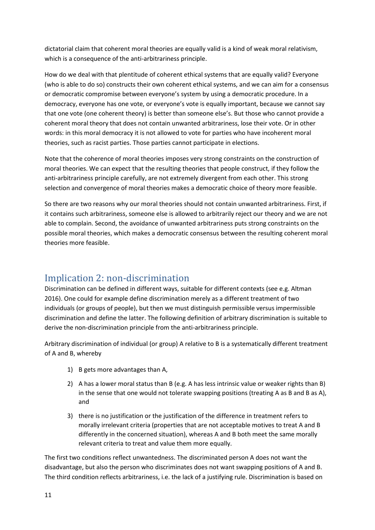dictatorial claim that coherent moral theories are equally valid is a kind of weak moral relativism, which is a consequence of the anti-arbitrariness principle.

How do we deal with that plentitude of coherent ethical systems that are equally valid? Everyone (who is able to do so) constructs their own coherent ethical systems, and we can aim for a consensus or democratic compromise between everyone's system by using a democratic procedure. In a democracy, everyone has one vote, or everyone's vote is equally important, because we cannot say that one vote (one coherent theory) is better than someone else's. But those who cannot provide a coherent moral theory that does not contain unwanted arbitrariness, lose their vote. Or in other words: in this moral democracy it is not allowed to vote for parties who have incoherent moral theories, such as racist parties. Those parties cannot participate in elections.

Note that the coherence of moral theories imposes very strong constraints on the construction of moral theories. We can expect that the resulting theories that people construct, if they follow the anti-arbitrariness principle carefully, are not extremely divergent from each other. This strong selection and convergence of moral theories makes a democratic choice of theory more feasible.

So there are two reasons why our moral theories should not contain unwanted arbitrariness. First, if it contains such arbitrariness, someone else is allowed to arbitrarily reject our theory and we are not able to complain. Second, the avoidance of unwanted arbitrariness puts strong constraints on the possible moral theories, which makes a democratic consensus between the resulting coherent moral theories more feasible.

# Implication 2: non-discrimination

Discrimination can be defined in different ways, suitable for different contexts (see e.g. Altman 2016). One could for example define discrimination merely as a different treatment of two individuals (or groups of people), but then we must distinguish permissible versus impermissible discrimination and define the latter. The following definition of arbitrary discrimination is suitable to derive the non-discrimination principle from the anti-arbitrariness principle.

Arbitrary discrimination of individual (or group) A relative to B is a systematically different treatment of A and B, whereby

- 1) B gets more advantages than A,
- 2) A has a lower moral status than B (e.g. A has less intrinsic value or weaker rights than B) in the sense that one would not tolerate swapping positions (treating A as B and B as A), and
- 3) there is no justification or the justification of the difference in treatment refers to morally irrelevant criteria (properties that are not acceptable motives to treat A and B differently in the concerned situation), whereas A and B both meet the same morally relevant criteria to treat and value them more equally.

The first two conditions reflect unwantedness. The discriminated person A does not want the disadvantage, but also the person who discriminates does not want swapping positions of A and B. The third condition reflects arbitrariness, i.e. the lack of a justifying rule. Discrimination is based on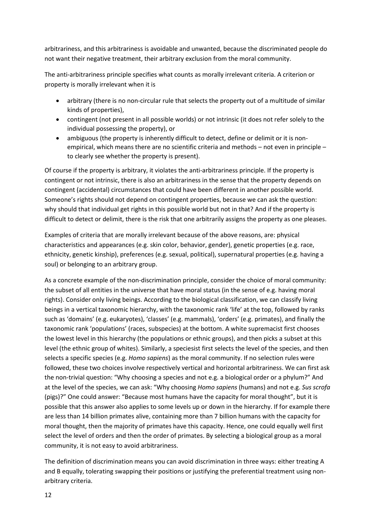arbitrariness, and this arbitrariness is avoidable and unwanted, because the discriminated people do not want their negative treatment, their arbitrary exclusion from the moral community.

The anti-arbitrariness principle specifies what counts as morally irrelevant criteria. A criterion or property is morally irrelevant when it is

- arbitrary (there is no non-circular rule that selects the property out of a multitude of similar kinds of properties),
- contingent (not present in all possible worlds) or not intrinsic (it does not refer solely to the individual possessing the property), or
- ambiguous (the property is inherently difficult to detect, define or delimit or it is nonempirical, which means there are no scientific criteria and methods – not even in principle – to clearly see whether the property is present).

Of course if the property is arbitrary, it violates the anti-arbitrariness principle. If the property is contingent or not intrinsic, there is also an arbitrariness in the sense that the property depends on contingent (accidental) circumstances that could have been different in another possible world. Someone's rights should not depend on contingent properties, because we can ask the question: why should that individual get rights in this possible world but not in that? And if the property is difficult to detect or delimit, there is the risk that one arbitrarily assigns the property as one pleases.

Examples of criteria that are morally irrelevant because of the above reasons, are: physical characteristics and appearances (e.g. skin color, behavior, gender), genetic properties (e.g. race, ethnicity, genetic kinship), preferences (e.g. sexual, political), supernatural properties (e.g. having a soul) or belonging to an arbitrary group.

As a concrete example of the non-discrimination principle, consider the choice of moral community: the subset of all entities in the universe that have moral status (in the sense of e.g. having moral rights). Consider only living beings. According to the biological classification, we can classify living beings in a vertical taxonomic hierarchy, with the taxonomic rank 'life' at the top, followed by ranks such as 'domains' (e.g. eukaryotes), 'classes' (e.g. mammals), 'orders' (e.g. primates), and finally the taxonomic rank 'populations' (races, subspecies) at the bottom. A white supremacist first chooses the lowest level in this hierarchy (the populations or ethnic groups), and then picks a subset at this level (the ethnic group of whites). Similarly, a speciesist first selects the level of the species, and then selects a specific species (e.g. *Homo sapiens*) as the moral community. If no selection rules were followed, these two choices involve respectively vertical and horizontal arbitrariness. We can first ask the non-trivial question: "Why choosing a species and not e.g. a biological order or a phylum?" And at the level of the species, we can ask: "Why choosing *Homo sapiens* (humans) and not e.g. *Sus scrofa* (pigs)?" One could answer: "Because most humans have the capacity for moral thought", but it is possible that this answer also applies to some levels up or down in the hierarchy. If for example there are less than 14 billion primates alive, containing more than 7 billion humans with the capacity for moral thought, then the majority of primates have this capacity. Hence, one could equally well first select the level of orders and then the order of primates. By selecting a biological group as a moral community, it is not easy to avoid arbitrariness.

The definition of discrimination means you can avoid discrimination in three ways: either treating A and B equally, tolerating swapping their positions or justifying the preferential treatment using nonarbitrary criteria.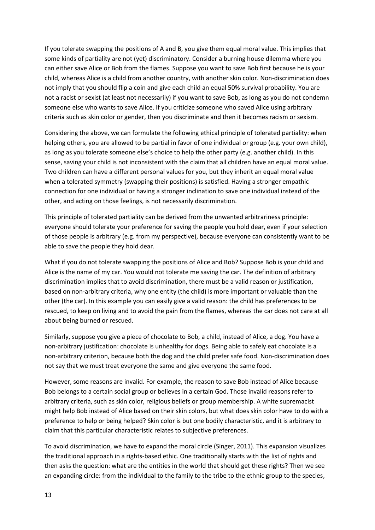If you tolerate swapping the positions of A and B, you give them equal moral value. This implies that some kinds of partiality are not (yet) discriminatory. Consider a burning house dilemma where you can either save Alice or Bob from the flames. Suppose you want to save Bob first because he is your child, whereas Alice is a child from another country, with another skin color. Non-discrimination does not imply that you should flip a coin and give each child an equal 50% survival probability. You are not a racist or sexist (at least not necessarily) if you want to save Bob, as long as you do not condemn someone else who wants to save Alice. If you criticize someone who saved Alice using arbitrary criteria such as skin color or gender, then you discriminate and then it becomes racism or sexism.

Considering the above, we can formulate the following ethical principle of tolerated partiality: when helping others, you are allowed to be partial in favor of one individual or group (e.g. your own child), as long as you tolerate someone else's choice to help the other party (e.g. another child). In this sense, saving your child is not inconsistent with the claim that all children have an equal moral value. Two children can have a different personal values for you, but they inherit an equal moral value when a tolerated symmetry (swapping their positions) is satisfied. Having a stronger empathic connection for one individual or having a stronger inclination to save one individual instead of the other, and acting on those feelings, is not necessarily discrimination.

This principle of tolerated partiality can be derived from the unwanted arbitrariness principle: everyone should tolerate your preference for saving the people you hold dear, even if your selection of those people is arbitrary (e.g. from my perspective), because everyone can consistently want to be able to save the people they hold dear.

What if you do not tolerate swapping the positions of Alice and Bob? Suppose Bob is your child and Alice is the name of my car. You would not tolerate me saving the car. The definition of arbitrary discrimination implies that to avoid discrimination, there must be a valid reason or justification, based on non-arbitrary criteria, why one entity (the child) is more important or valuable than the other (the car). In this example you can easily give a valid reason: the child has preferences to be rescued, to keep on living and to avoid the pain from the flames, whereas the car does not care at all about being burned or rescued.

Similarly, suppose you give a piece of chocolate to Bob, a child, instead of Alice, a dog. You have a non-arbitrary justification: chocolate is unhealthy for dogs. Being able to safely eat chocolate is a non-arbitrary criterion, because both the dog and the child prefer safe food. Non-discrimination does not say that we must treat everyone the same and give everyone the same food.

However, some reasons are invalid. For example, the reason to save Bob instead of Alice because Bob belongs to a certain social group or believes in a certain God. Those invalid reasons refer to arbitrary criteria, such as skin color, religious beliefs or group membership. A white supremacist might help Bob instead of Alice based on their skin colors, but what does skin color have to do with a preference to help or being helped? Skin color is but one bodily characteristic, and it is arbitrary to claim that this particular characteristic relates to subjective preferences.

To avoid discrimination, we have to expand the moral circle (Singer, 2011). This expansion visualizes the traditional approach in a rights-based ethic. One traditionally starts with the list of rights and then asks the question: what are the entities in the world that should get these rights? Then we see an expanding circle: from the individual to the family to the tribe to the ethnic group to the species,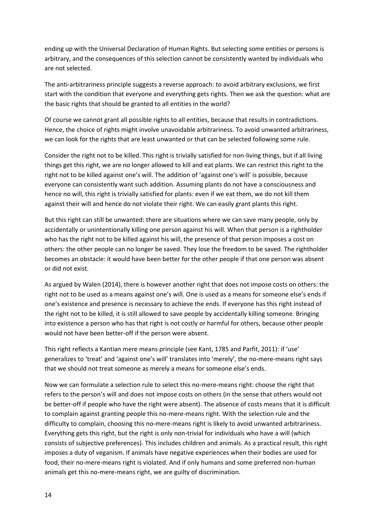ending up with the Universal Declaration of Human Rights. But selecting some entities or persons is arbitrary, and the consequences of this selection cannot be consistently wanted by individuals who are not selected.

The anti-arbitrariness principle suggests a reverse approach: to avoid arbitrary exclusions, we first start with the condition that everyone and everything gets rights. Then we ask the question: what are the basic rights that should be granted to all entities in the world?

Of course we cannot grant all possible rights to all entities, because that results in contradictions. Hence, the choice of rights might involve unavoidable arbitrariness. To avoid unwanted arbitrariness, we can look for the rights that are least unwanted or that can be selected following some rule.

Consider the right not to be killed. This right is trivially satisfied for non-living things, but if all living things get this right, we are no longer allowed to kill and eat plants. We can restrict this right to the right not to be killed against one's will. The addition of 'against one's will' is possible, because everyone can consistently want such addition. Assuming plants do not have a consciousness and hence no will, this right is trivially satisfied for plants: even if we eat them, we do not kill them against their will and hence do not violate their right. We can easily grant plants this right.

But this right can still be unwanted: there are situations where we can save many people, only by accidentally or unintentionally killing one person against his will. When that person is a rightholder who has the right not to be killed against his will, the presence of that person imposes a cost on others: the other people can no longer be saved. They lose the freedom to be saved. The rightholder becomes an obstacle: it would have been better for the other people if that one person was absent or did not exist.

As argued by Walen (2014), there is however another right that does not impose costs on others: the right not to be used as a means against one's will. One is used as a means for someone else's ends if one's existence and presence is necessary to achieve the ends. If everyone has this right instead of the right not to be killed, it is still allowed to save people by accidentally killing someone. Bringing into existence a person who has that right is not costly or harmful for others, because other people would not have been better-off if the person were absent.

This right reflects a Kantian mere means principle (see Kant, 1785 and Parfit, 2011): if 'use' generalizes to 'treat' and 'against one's will' translates into 'merely', the no-mere-means right says that we should not treat someone as merely a means for someone else's ends.

Now we can formulate a selection rule to select this no-mere-means right: choose the right that refers to the person's will and does not impose costs on others (in the sense that others would not be better-off if people who have the right were absent). The absence of costs means that it is difficult to complain against granting people this no-mere-means right. With the selection rule and the difficulty to complain, choosing this no-mere-means right is likely to avoid unwanted arbitrariness. Everything gets this right, but the right is only non-trivial for individuals who have a will (which consists of subjective preferences). This includes children and animals. As a practical result, this right imposes a duty of veganism. If animals have negative experiences when their bodies are used for food, their no-mere-means right is violated. And if only humans and some preferred non-human animals get this no-mere-means right, we are guilty of discrimination.